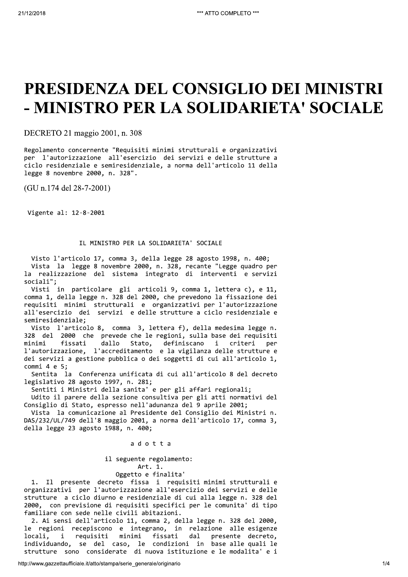# PRESIDENZA DEL CONSIGLIO DEI MINISTRI - MINISTRO PER LA SOLIDARIETA' SOCIALE

DECRETO 21 maggio 2001, n. 308

Regolamento concernente "Requisiti minimi strutturali e organizzativi per l'autorizzazione all'esercizio dei servizi e delle strutture a ciclo residenziale e semiresidenziale, a norma dell'articolo 11 della legge 8 novembre 2000, n. 328".

(GU n.174 del 28-7-2001)

Vigente al: 12-8-2001

### IL MINISTRO PER LA SOLIDARIETA' SOCIALE

Visto l'articolo 17, comma 3, della legge 28 agosto 1998, n. 400; Vista la legge 8 novembre 2000, n. 328, recante "Legge quadro per la realizzazione del sistema integrato di interventi e servizi sociali";

Visti in particolare gli articoli 9, comma 1, lettera c), e 11, comma 1, della legge n. 328 del 2000, che prevedono la fissazione dei requisiti minimi strutturali e organizzativi per l'autorizzazione all'esercizio dei servizi e delle strutture a ciclo residenziale e semiresidenziale;

Visto l'articolo 8, comma 3, lettera f), della medesima legge n. 328 del 2000 che prevede che le regioni, sulla base dei requisiti Stato, minimi fissati dallo definiscano i criteri per l'autorizzazione, l'accreditamento e la vigilanza delle strutture e dei servizi a gestione pubblica o dei soggetti di cui all'articolo 1,  $commi$  4 e 5;

Sentita la Conferenza unificata di cui all'articolo 8 del decreto legislativo 28 agosto 1997, n. 281;

Sentiti i Ministri della sanita' e per gli affari regionali;

Udito il parere della sezione consultiva per gli atti normativi del Consiglio di Stato, espresso nell'adunanza del 9 aprile 2001;

Vista la comunicazione al Presidente del Consiglio dei Ministri n. DAS/232/UL/749 dell'8 maggio 2001, a norma dell'articolo 17, comma 3, della legge 23 agosto 1988, n. 400;

adotta

il seguente regolamento: Art. 1.

Oggetto e finalita'

1. Il presente decreto fissa i requisiti minimi strutturali e organizzativi per l'autorizzazione all'esercizio dei servizi e delle strutture a ciclo diurno e residenziale di cui alla legge n. 328 del 2000, con previsione di requisiti specifici per le comunita' di tipo familiare con sede nelle civili abitazioni.

2. Ai sensi dell'articolo 11, comma 2, della legge n. 328 del 2000, le regioni recepiscono e integrano, in relazione alle esigenze  $d$ al locali,  $\mathbf{i}$ requisiti minimi fissati presente decreto, individuando, se del caso, le condizioni in base alle quali le strutture sono considerate di nuova istituzione e le modalita' e i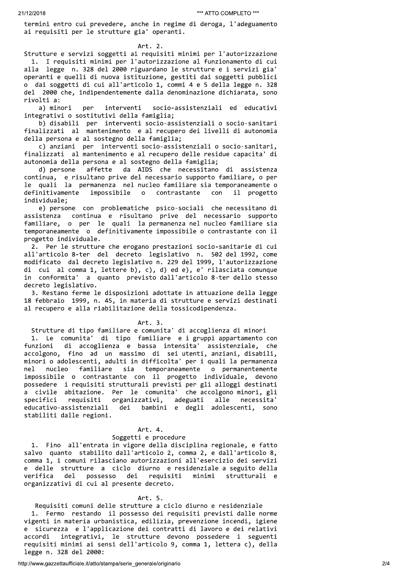termini entro cui prevedere, anche in regime di deroga, l'adeguamento ai requisiti per le strutture gia' operanti.

Art. 2.

Strutture e servizi soggetti ai requisiti minimi per l'autorizzazione 1. I requisiti minimi per l'autorizzazione al funzionamento di cui alla legge n. 328 del 2000 riguardano le strutture e i servizi gia' operanti e quelli di nuova istituzione, gestiti dai soggetti pubblici o dai soggetti di cui all'articolo 1, commi 4 e 5 della legge n. 328 del 2000 che, indipendentemente dalla denominazione dichiarata, sono rivolti a:

a) minori per interventi socio-assistenziali ed educativi integrativi o sostitutivi della famiglia;

b) disabili per interventi socio-assistenziali o socio-sanitari finalizzati al mantenimento e al recupero dei livelli di autonomia della persona e al sostegno della famiglia;

c) anziani per interventi socio-assistenziali o socio-sanitari, finalizzati al mantenimento e al recupero delle residue capacita' di autonomia della persona e al sostegno della famiglia;

d) persone affette da AIDS che necessitano di assistenza continua, e risultano prive del necessario supporto familiare, o per<br>le quali la permanenza nel nucleo familiare sia temporaneamente o definitivamente impossibile  $\circ$ contrastante con il progetto individuale;

e) persone con problematiche psico-sociali che necessitano di assistenza continua e risultano prive del necessario supporto familiare, o per le quali la permanenza nel nucleo familiare sia<br>temporaneamente o definitivamente impossibile o contrastante con il progetto individuale.

2. Per le strutture che erogano prestazioni socio-sanitarie di cui all'articolo 8-ter del decreto legislativo n. 502 del 1992, come modificato dal decreto legislativo n. 229 del 1999, l'autorizzazione di cui al comma 1, lettere b), c), d) ed e), e' rilasciata comunque in conformita' a quanto previsto dall'articolo 8-ter dello stesso decreto legislativo.

3. Restano ferme le disposizioni adottate in attuazione della legge 18 febbraio 1999, n. 45, in materia di strutture e servizi destinati al recupero e alla riabilitazione della tossicodipendenza.

#### Art. 3.

Strutture di tipo familiare e comunita' di accoglienza di minori<br>1. Le comunita' di tipo familiare e i gruppi appartamento con<br>funzioni di accoglienza e bassa intensita' assistenziale, che<br>accolgono, fino ad un massimo di nel nucleo familiare sia temporaneamente o permanentemente impossibile o contrastante con il progetto individuale, devono possedere i requisiti strutturali previsti per gli alloggi destinati a civile abitazione. Per le comunita' che accolgono minori, gli organizzativi, adeguati alle necessita'<br>dei bambini e degli adolescenti, sono specifici requisiti educativo-assistenziali stabiliti dalle regioni.

#### Art. 4.

#### Soggetti e procedure

1. Fino all'entrata in vigore della disciplina regionale, e fatto salvo quanto stabilito dall'articolo 2, comma 2, e dall'articolo 8, comma 1, i comuni rilasciano autorizzazioni all'esercizio dei servizi e delle strutture a ciclo diurno e residenziale a seguito della possesso dei requisiti minimi strutturali e verifica del organizzativi di cui al presente decreto.

#### Art. 5.

Requisiti comuni delle strutture a ciclo diurno e residenziale 1. Fermo restando il possesso dei requisiti previsti dalle norme vigenti in materia urbanistica, edilizia, prevenzione incendi, igiene e sicurezza e l'applicazione dei contratti di lavoro e dei relativi accordi integrativi, le strutture devono possedere i seguenti requisiti minimi ai sensi dell'articolo 9, comma 1, lettera c), della legge n. 328 del 2000: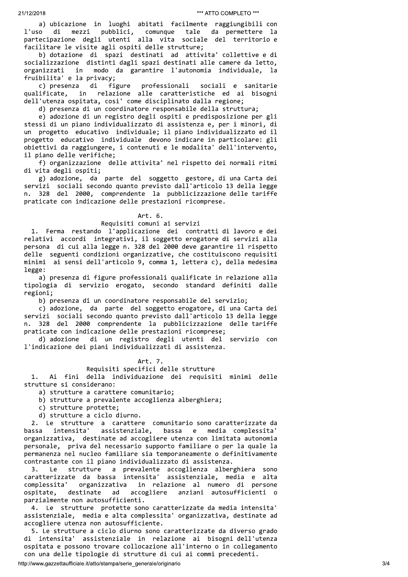a) ubicazione in luoghi abitati facilmente raggiungibili con di tale da permettere la l'uso mezzi pubblici, comunque partecipazione degli utenti alla vita sociale del territorio e facilitare le visite agli ospiti delle strutture;

b) dotazione di spazi destinati ad attivita' collettive e di socializzazione distinti dagli spazi destinati alle camere da letto, organizzati in modo da garantire l'autonomia individuale, la fruibilita' e la privacy;

sociali e sanitarie c) presenza di figure professionali relazione alle caratteristiche ed ai bisogni qualificate, in dell'utenza ospitata, cosi' come disciplinato dalla regione;

d) presenza di un coordinatore responsabile della struttura;

e) adozione di un registro degli ospiti e predisposizione per gli stessi di un piano individualizzato di assistenza e, per i minori, di un progetto educativo individuale; il piano individualizzato ed il progetto educativo individuale devono indicare in particolare: gli obiettivi da raggiungere, i contenuti e le modalita' dell'intervento, il piano delle verifiche;

f) organizzazione delle attivita' nel rispetto dei normali ritmi di vita degli ospiti;

g) adozione, da parte del soggetto gestore, di una Carta dei servizi sociali secondo quanto previsto dall'articolo 13 della legge n. 328 del 2000, comprendente la pubblicizzazione delle tariffe praticate con indicazione delle prestazioni ricomprese.

#### Art. 6.

## Requisiti comuni ai servizi

1. Ferma restando l'applicazione dei contratti di lavoro e dei relativi accordi integrativi, il soggetto erogatore di servizi alla persona di cui alla legge n. 328 del 2000 deve garantire il rispetto delle seguenti condizioni organizzative, che costituiscono requisiti minimi ai sensi dell'articolo 9, comma 1, lettera c), della medesima legge:

a) presenza di figure professionali qualificate in relazione alla tipologia di servizio erogato, secondo standard definiti dalle regioni;

b) presenza di un coordinatore responsabile del servizio;

c) adozione, da parte del soggetto erogatore, di una Carta dei servizi sociali secondo quanto previsto dall'articolo 13 della legge n. 328 del 2000 comprendente la pubblicizzazione delle tariffe praticate con indicazione delle prestazioni ricomprese;

d) adozione di un registro degli utenti del servizio con l'indicazione dei piani individualizzati di assistenza.

Art. 7.

Requisiti specifici delle strutture

della individuazione dei requisiti minimi delle  $1.$ Ai fini strutture si considerano:

a) strutture a carattere comunitario;

- b) strutture a prevalente accoglienza alberghiera;
- c) strutture protette;
- d) strutture a ciclo diurno.

2. Le strutture a carattere comunitario sono caratterizzate da intensita' assistenziale, bassa e media complessita' bassa organizzativa, destinate ad accogliere utenza con limitata autonomia personale, priva del necessario supporto familiare o per la quale la permanenza nel nucleo familiare sia temporaneamente o definitivamente contrastante con il piano individualizzato di assistenza.

strutture a prevalente accoglienza alberghiera sono  $\overline{3}$ . Le assistenziale, media e alta caratterizzate da bassa intensita' in relazione al numero di persone complessita' organizzativa destinate accogliere anziani autosufficienti o ospitate. ad parzialmente non autosufficienti.

4. Le strutture protette sono caratterizzate da media intensita' assistenziale, media e alta complessita' organizzativa, destinate ad accogliere utenza non autosufficiente.

5. Le strutture a ciclo diurno sono caratterizzate da diverso grado di intensita' assistenziale in relazione ai bisogni dell'utenza ospitata e possono trovare collocazione all'interno o in collegamento con una delle tipologie di strutture di cui ai commi precedenti.